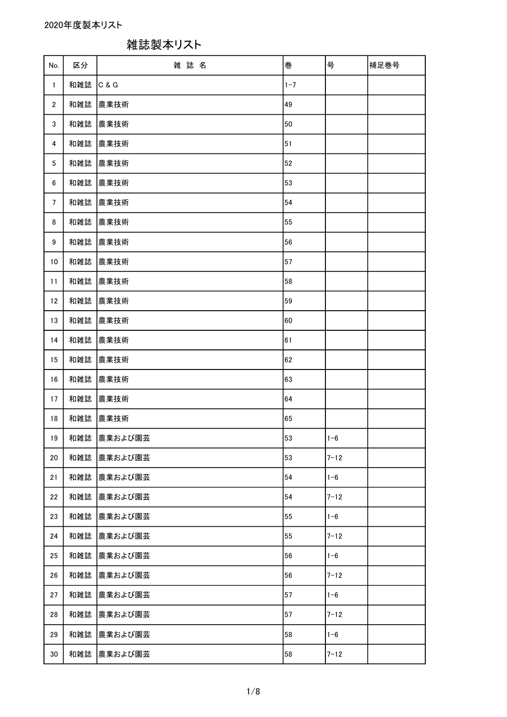| No.             | 区分  | 雑誌名         | 巻       | 号        | 補足巻号 |
|-----------------|-----|-------------|---------|----------|------|
| $\mathbf{1}$    | 和雑誌 | C & G       | $1 - 7$ |          |      |
| $\overline{2}$  | 和雑誌 | 農業技術        | 49      |          |      |
| 3               | 和雑誌 | 農業技術        | 50      |          |      |
| 4               | 和雑誌 | 農業技術        | 51      |          |      |
| 5               | 和雑誌 | 農業技術        | 52      |          |      |
| 6               | 和雑誌 | 農業技術        | 53      |          |      |
| $7\phantom{.0}$ | 和雑誌 | 農業技術        | 54      |          |      |
| 8               | 和雑誌 | 農業技術        | 55      |          |      |
| 9               | 和雑誌 | 農業技術        | 56      |          |      |
| 10              | 和雑誌 | 農業技術        | 57      |          |      |
| 11              | 和雑誌 | 農業技術        | 58      |          |      |
| 12              | 和雑誌 | 農業技術        | 59      |          |      |
| 13              | 和雑誌 | 農業技術        | 60      |          |      |
| 14              | 和雑誌 | 農業技術        | 61      |          |      |
| 15              | 和雑誌 | 農業技術        | 62      |          |      |
| 16              | 和雑誌 | 農業技術        | 63      |          |      |
| 17              | 和雑誌 | 農業技術        | 64      |          |      |
| 18              | 和雑誌 | 農業技術        | 65      |          |      |
| 19              |     | 和雑誌 農業および園芸 | 53      | $1 - 6$  |      |
| 20              | 和雑誌 | 農業および園芸     | 53      | $7 - 12$ |      |
| 21              | 和雑誌 | 農業および園芸     | 54      | $1 - 6$  |      |
| 22              | 和雑誌 | 農業および園芸     | 54      | $7 - 12$ |      |
| 23              | 和雑誌 | 農業および園芸     | 55      | $1 - 6$  |      |
| 24              | 和雑誌 | 農業および園芸     | 55      | $7 - 12$ |      |
| 25              | 和雑誌 | 農業および園芸     | 56      | $1 - 6$  |      |
| 26              | 和雑誌 | 農業および園芸     | 56      | $7 - 12$ |      |
| 27              | 和雑誌 | 農業および園芸     | 57      | $1 - 6$  |      |
| 28              | 和雑誌 | 農業および園芸     | 57      | $7 - 12$ |      |
| 29              | 和雑誌 | 農業および園芸     | 58      | $1 - 6$  |      |
| 30              | 和雑誌 | 農業および園芸     | 58      | $7 - 12$ |      |

雑誌製本リスト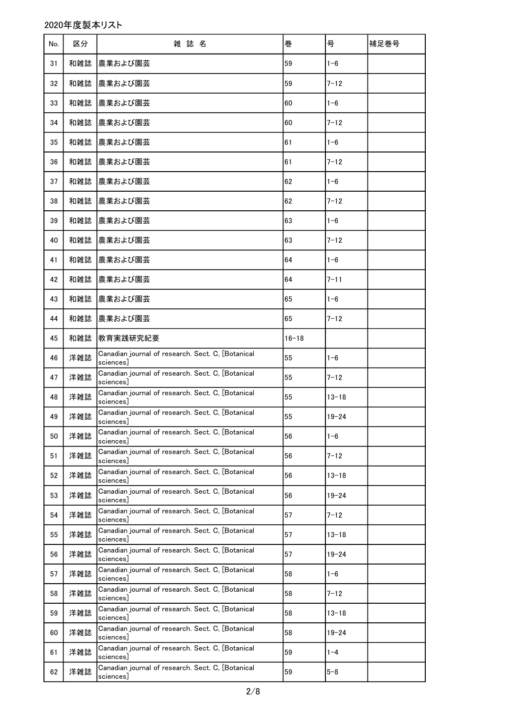2020年度製本リスト

| No. | 区分  | 雑誌名                                                            | 巻         | 号         | 補足巻号 |
|-----|-----|----------------------------------------------------------------|-----------|-----------|------|
| 31  | 和雑誌 | 農業および園芸                                                        | 59        | $1 - 6$   |      |
| 32  | 和雑誌 | 農業および園芸                                                        | 59        | $7 - 12$  |      |
| 33  | 和雑誌 | 農業および園芸                                                        | 60        | $1 - 6$   |      |
| 34  | 和雑誌 | 農業および園芸                                                        | 60        | $7 - 12$  |      |
| 35  | 和雑誌 | 農業および園芸                                                        | 61        | $1 - 6$   |      |
| 36  | 和雑誌 | 農業および園芸                                                        | 61        | $7 - 12$  |      |
| 37  | 和雑誌 | 農業および園芸                                                        | 62        | $1 - 6$   |      |
| 38  | 和雑誌 | 農業および園芸                                                        | 62        | $7 - 12$  |      |
| 39  | 和雑誌 | 農業および園芸                                                        | 63        | $1 - 6$   |      |
| 40  | 和雑誌 | 農業および園芸                                                        | 63        | $7 - 12$  |      |
| 41  | 和雑誌 | 農業および園芸                                                        | 64        | $1 - 6$   |      |
| 42  | 和雑誌 | 農業および園芸                                                        | 64        | $7 - 11$  |      |
| 43  | 和雑誌 | 農業および園芸                                                        | 65        | $1 - 6$   |      |
| 44  | 和雑誌 | 農業および園芸                                                        | 65        | $7 - 12$  |      |
| 45  | 和雑誌 | 教育実践研究紀要                                                       | $16 - 18$ |           |      |
| 46  | 洋雑誌 | Canadian journal of research. Sect. C, [Botanical<br>sciences] | 55        | $1 - 6$   |      |
| 47  | 洋雑誌 | Canadian journal of research. Sect. C. [Botanical<br>sciences] | 55        | $7 - 12$  |      |
| 48  | 洋雑誌 | Canadian journal of research. Sect. C, [Botanical<br>sciences] | 55        | $13 - 18$ |      |
| 49  | 洋雑誌 | Canadian journal of research. Sect. C, [Botanical<br>sciences] | 55        | $19 - 24$ |      |
| 50  | 洋雑誌 | Canadian journal of research. Sect. C, [Botanical<br>sciences] | 56        | $1 - 6$   |      |
| 51  | 洋雑誌 | Canadian journal of research. Sect. C, [Botanical<br>sciences] | 56        | $7 - 12$  |      |
| 52  | 洋雑誌 | Canadian journal of research. Sect. C, [Botanical<br>sciences] | 56        | $13 - 18$ |      |
| 53  | 洋雑誌 | Canadian journal of research. Sect. C, [Botanical<br>sciences] | 56        | $19 - 24$ |      |
| 54  | 洋雑誌 | Canadian journal of research. Sect. C, [Botanical<br>sciences] | 57        | $7 - 12$  |      |
| 55  | 洋雑誌 | Canadian journal of research. Sect. C, [Botanical<br>sciences] | 57        | $13 - 18$ |      |
| 56  | 洋雑誌 | Canadian journal of research. Sect. C, [Botanical<br>sciences] | 57        | $19 - 24$ |      |
| 57  | 洋雑誌 | Canadian journal of research. Sect. C, [Botanical<br>sciences] | 58        | $1 - 6$   |      |
| 58  | 洋雑誌 | Canadian journal of research. Sect. C, [Botanical<br>sciences] | 58        | 7-12      |      |
| 59  | 洋雑誌 | Canadian journal of research. Sect. C, [Botanical<br>sciences] | 58        | $13 - 18$ |      |
| 60  | 洋雑誌 | Canadian journal of research. Sect. C, [Botanical<br>sciences] | 58        | $19 - 24$ |      |
| 61  | 洋雑誌 | Canadian journal of research. Sect. C, [Botanical<br>sciences] | 59        | $1 - 4$   |      |
| 62  | 洋雑誌 | Canadian journal of research. Sect. C, [Botanical<br>sciences] | 59        | $5 - 8$   |      |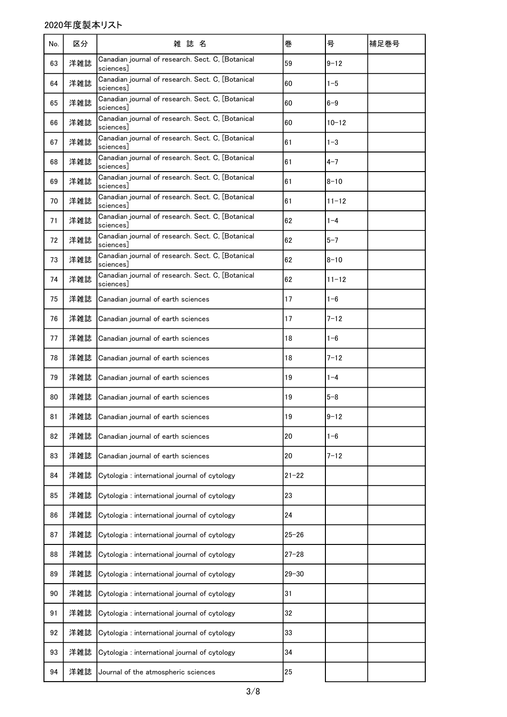| No. | 区分  | 雑誌名                                                            | 巻         | 号         | 補足巻号 |
|-----|-----|----------------------------------------------------------------|-----------|-----------|------|
| 63  | 洋雑誌 | Canadian journal of research. Sect. C, [Botanical<br>sciences  | 59        | $9 - 12$  |      |
| 64  | 洋雑誌 | Canadian journal of research. Sect. C, [Botanical<br>sciences] | 60        | $1 - 5$   |      |
| 65  | 洋雑誌 | Canadian journal of research. Sect. C, [Botanical<br>sciences] | 60        | $6 - 9$   |      |
| 66  | 洋雑誌 | Canadian journal of research. Sect. C, [Botanical<br>sciences」 | 60        | $10 - 12$ |      |
| 67  | 洋雑誌 | Canadian journal of research. Sect. C, [Botanical<br>sciences」 | 61        | $1 - 3$   |      |
| 68  | 洋雑誌 | Canadian journal of research. Sect. C, [Botanical<br>sciences] | 61        | $4 - 7$   |      |
| 69  | 洋雑誌 | Canadian journal of research. Sect. C, [Botanical<br>sciences  | 61        | $8 - 10$  |      |
| 70  | 洋雑誌 | Canadian journal of research. Sect. C, [Botanical<br>sciences] | 61        | $11 - 12$ |      |
| 71  | 洋雑誌 | Canadian journal of research. Sect. C, [Botanical<br>sciences  | 62        | $1 - 4$   |      |
| 72  | 洋雑誌 | Canadian journal of research. Sect. C, [Botanical<br>sciences] | 62        | $5 - 7$   |      |
| 73  | 洋雑誌 | Canadian journal of research. Sect. C, [Botanical<br>sciences] | 62        | $8 - 10$  |      |
| 74  | 洋雑誌 | Canadian journal of research. Sect. C, [Botanical<br>sciences] | 62        | $11 - 12$ |      |
| 75  | 洋雑誌 | Canadian journal of earth sciences                             | 17        | $1 - 6$   |      |
| 76  | 洋雑誌 | Canadian journal of earth sciences                             | 17        | $7 - 12$  |      |
| 77  | 洋雑誌 | Canadian journal of earth sciences                             | 18        | $1 - 6$   |      |
| 78  | 洋雑誌 | Canadian journal of earth sciences                             | 18        | $7 - 12$  |      |
| 79  | 洋雑誌 | Canadian journal of earth sciences                             | 19        | $1 - 4$   |      |
| 80  | 洋雑誌 | Canadian journal of earth sciences                             | 19        | $5 - 8$   |      |
| 81  |     | 洋雑誌 Canadian journal of earth sciences                         | 19        | $9 - 12$  |      |
| 82  | 洋雑誌 | Canadian journal of earth sciences                             | 20        | $1 - 6$   |      |
| 83  | 洋雑誌 | Canadian journal of earth sciences                             | 20        | $7 - 12$  |      |
| 84  | 洋雑誌 | Cytologia: international journal of cytology                   | $21 - 22$ |           |      |
| 85  | 洋雑誌 | Cytologia : international journal of cytology                  | 23        |           |      |
| 86  | 洋雑誌 | Cytologia : international journal of cytology                  | 24        |           |      |
| 87  | 洋雑誌 | Cytologia : international journal of cytology                  | $25 - 26$ |           |      |
| 88  | 洋雑誌 | Cytologia : international journal of cytology                  | $27 - 28$ |           |      |
| 89  | 洋雑誌 | Cytologia : international journal of cytology                  | $29 - 30$ |           |      |
| 90  | 洋雑誌 | Cytologia : international journal of cytology                  | 31        |           |      |
| 91  | 洋雑誌 | Cytologia : international journal of cytology                  | 32        |           |      |
| 92  | 洋雑誌 | Cytologia : international journal of cytology                  | 33        |           |      |
| 93  | 洋雑誌 | Cytologia: international journal of cytology                   | 34        |           |      |
| 94  | 洋雑誌 | Journal of the atmospheric sciences                            | 25        |           |      |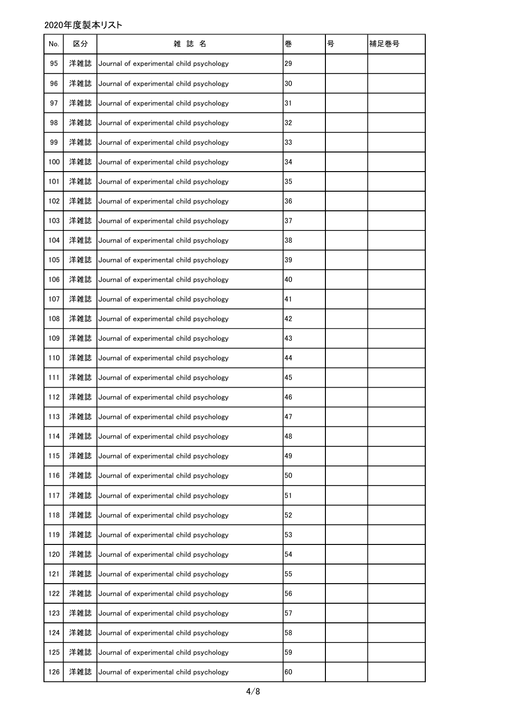| No. | 区分  | 雑 誌 名                                    | 巻  | 号 | 補足巻号 |
|-----|-----|------------------------------------------|----|---|------|
| 95  | 洋雑誌 | Journal of experimental child psychology | 29 |   |      |
| 96  | 洋雑誌 | Journal of experimental child psychology | 30 |   |      |
| 97  | 洋雑誌 | Journal of experimental child psychology | 31 |   |      |
| 98  | 洋雑誌 | Journal of experimental child psychology | 32 |   |      |
| 99  | 洋雑誌 | Journal of experimental child psychology | 33 |   |      |
| 100 | 洋雑誌 | Journal of experimental child psychology | 34 |   |      |
| 101 | 洋雑誌 | Journal of experimental child psychology | 35 |   |      |
| 102 | 洋雑誌 | Journal of experimental child psychology | 36 |   |      |
| 103 | 洋雑誌 | Journal of experimental child psychology | 37 |   |      |
| 104 | 洋雑誌 | Journal of experimental child psychology | 38 |   |      |
| 105 | 洋雑誌 | Journal of experimental child psychology | 39 |   |      |
| 106 | 洋雑誌 | Journal of experimental child psychology | 40 |   |      |
| 107 | 洋雑誌 | Journal of experimental child psychology | 41 |   |      |
| 108 | 洋雑誌 | Journal of experimental child psychology | 42 |   |      |
| 109 | 洋雑誌 | Journal of experimental child psychology | 43 |   |      |
| 110 | 洋雑誌 | Journal of experimental child psychology | 44 |   |      |
| 111 | 洋雑誌 | Journal of experimental child psychology | 45 |   |      |
| 112 | 洋雑誌 | Journal of experimental child psychology | 46 |   |      |
| 113 | 洋雑誌 | Journal of experimental child psychology | 47 |   |      |
| 114 | 洋雑誌 | Journal of experimental child psychology | 48 |   |      |
| 115 | 洋雑誌 | Journal of experimental child psychology | 49 |   |      |
| 116 | 洋雑誌 | Journal of experimental child psychology | 50 |   |      |
| 117 | 洋雑誌 | Journal of experimental child psychology | 51 |   |      |
| 118 | 洋雑誌 | Journal of experimental child psychology | 52 |   |      |
| 119 | 洋雑誌 | Journal of experimental child psychology | 53 |   |      |
| 120 | 洋雑誌 | Journal of experimental child psychology | 54 |   |      |
| 121 | 洋雑誌 | Journal of experimental child psychology | 55 |   |      |
| 122 | 洋雑誌 | Journal of experimental child psychology | 56 |   |      |
| 123 | 洋雑誌 | Journal of experimental child psychology | 57 |   |      |
| 124 | 洋雑誌 | Journal of experimental child psychology | 58 |   |      |
| 125 | 洋雑誌 | Journal of experimental child psychology | 59 |   |      |
| 126 | 洋雑誌 | Journal of experimental child psychology | 60 |   |      |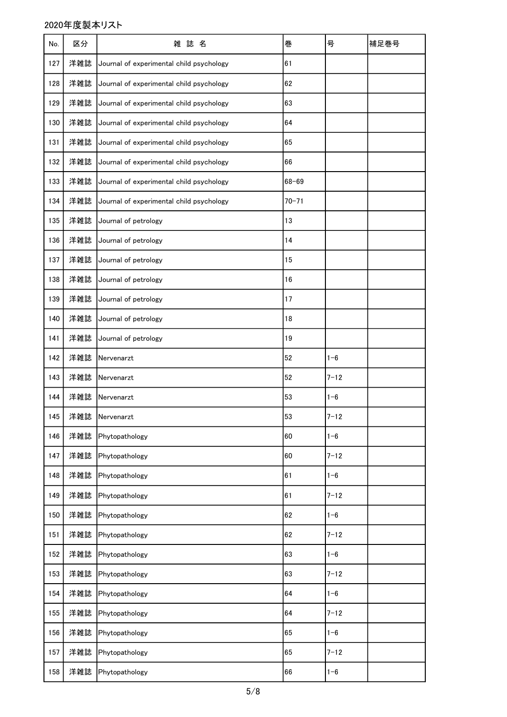| No. | 区分  | 雑誌名                                      | 巻         | 号        | 補足巻号 |
|-----|-----|------------------------------------------|-----------|----------|------|
| 127 | 洋雑誌 | Journal of experimental child psychology | 61        |          |      |
| 128 | 洋雑誌 | Journal of experimental child psychology | 62        |          |      |
| 129 | 洋雑誌 | Journal of experimental child psychology | 63        |          |      |
| 130 | 洋雑誌 | Journal of experimental child psychology | 64        |          |      |
| 131 | 洋雑誌 | Journal of experimental child psychology | 65        |          |      |
| 132 | 洋雑誌 | Journal of experimental child psychology | 66        |          |      |
| 133 | 洋雑誌 | Journal of experimental child psychology | $68 - 69$ |          |      |
| 134 | 洋雑誌 | Journal of experimental child psychology | $70 - 71$ |          |      |
| 135 | 洋雑誌 | Journal of petrology                     | 13        |          |      |
| 136 | 洋雑誌 | Journal of petrology                     | 14        |          |      |
| 137 | 洋雑誌 | Journal of petrology                     | 15        |          |      |
| 138 | 洋雑誌 | Journal of petrology                     | 16        |          |      |
| 139 | 洋雑誌 | Journal of petrology                     | 17        |          |      |
| 140 | 洋雑誌 | Journal of petrology                     | 18        |          |      |
| 141 | 洋雑誌 | Journal of petrology                     | 19        |          |      |
| 142 | 洋雑誌 | Nervenarzt                               | 52        | $1 - 6$  |      |
| 143 | 洋雑誌 | Nervenarzt                               | 52        | $7 - 12$ |      |
| 144 | 洋雑誌 | Nervenarzt                               | 53        | $1 - 6$  |      |
| 145 | 洋雑誌 | Nervenarzt                               | 53        | $7 - 12$ |      |
| 146 | 洋雑誌 | Phytopathology                           | 60        | $1 - 6$  |      |
| 147 | 洋雑誌 | Phytopathology                           | 60        | $7 - 12$ |      |
| 148 | 洋雑誌 | Phytopathology                           | 61        | $1 - 6$  |      |
| 149 | 洋雑誌 | Phytopathology                           | 61        | $7 - 12$ |      |
| 150 | 洋雑誌 | Phytopathology                           | 62        | $1 - 6$  |      |
| 151 | 洋雑誌 | Phytopathology                           | 62        | $7 - 12$ |      |
| 152 | 洋雑誌 | Phytopathology                           | 63        | $1 - 6$  |      |
| 153 | 洋雑誌 | Phytopathology                           | 63        | $7 - 12$ |      |
| 154 | 洋雑誌 | Phytopathology                           | 64        | $1 - 6$  |      |
| 155 | 洋雑誌 | Phytopathology                           | 64        | $7 - 12$ |      |
| 156 | 洋雑誌 | Phytopathology                           | 65        | $1 - 6$  |      |
| 157 | 洋雑誌 | Phytopathology                           | 65        | $7 - 12$ |      |
| 158 | 洋雑誌 | Phytopathology                           | 66        | $1 - 6$  |      |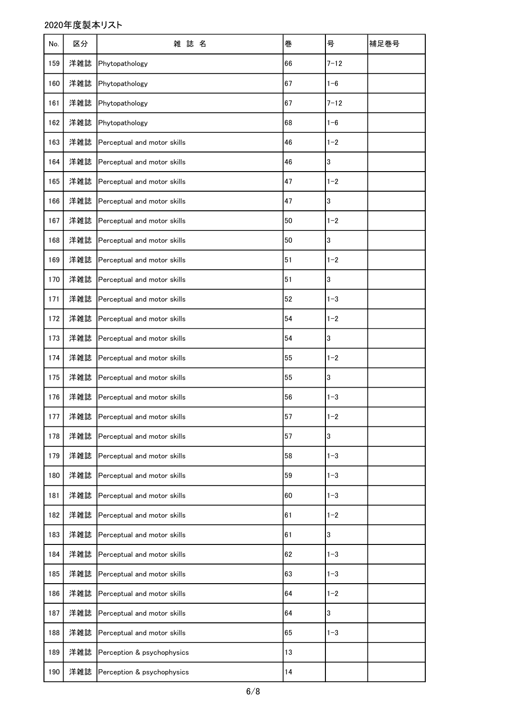| No. | 区分  | 雑 誌<br>名                        | 巻  | 号              | 補足巻号 |
|-----|-----|---------------------------------|----|----------------|------|
| 159 | 洋雑誌 | Phytopathology                  | 66 | $7 - 12$       |      |
| 160 | 洋雑誌 | Phytopathology                  | 67 | $1 - 6$        |      |
| 161 | 洋雑誌 | Phytopathology                  | 67 | $7 - 12$       |      |
| 162 | 洋雑誌 | Phytopathology                  | 68 | $1 - 6$        |      |
| 163 | 洋雑誌 | Perceptual and motor skills     | 46 | $1 - 2$        |      |
| 164 | 洋雑誌 | Perceptual and motor skills     | 46 | 3              |      |
| 165 | 洋雑誌 | Perceptual and motor skills     | 47 | $1 - 2$        |      |
| 166 | 洋雑誌 | Perceptual and motor skills     | 47 | 3              |      |
| 167 | 洋雑誌 | Perceptual and motor skills     | 50 | $1 - 2$        |      |
| 168 | 洋雑誌 | Perceptual and motor skills     | 50 | $\overline{3}$ |      |
| 169 | 洋雑誌 | Perceptual and motor skills     | 51 | $1 - 2$        |      |
| 170 | 洋雑誌 | Perceptual and motor skills     | 51 | 3              |      |
| 171 | 洋雑誌 | Perceptual and motor skills     | 52 | $1 - 3$        |      |
| 172 | 洋雑誌 | Perceptual and motor skills     | 54 | $1 - 2$        |      |
| 173 | 洋雑誌 | Perceptual and motor skills     | 54 | 3              |      |
| 174 | 洋雑誌 | Perceptual and motor skills     | 55 | $1 - 2$        |      |
| 175 | 洋雑誌 | Perceptual and motor skills     | 55 | 3              |      |
| 176 | 洋雑誌 | Perceptual and motor skills     | 56 | $1 - 3$        |      |
| 177 |     | 洋雑誌 Perceptual and motor skills | 57 | $1 - 2$        |      |
| 178 | 洋雑誌 | Perceptual and motor skills     | 57 | 3              |      |
| 179 | 洋雑誌 | Perceptual and motor skills     | 58 | $1 - 3$        |      |
| 180 | 洋雑誌 | Perceptual and motor skills     | 59 | $1 - 3$        |      |
| 181 | 洋雑誌 | Perceptual and motor skills     | 60 | $1 - 3$        |      |
| 182 | 洋雑誌 | Perceptual and motor skills     | 61 | $1 - 2$        |      |
| 183 | 洋雑誌 | Perceptual and motor skills     | 61 | $\overline{3}$ |      |
| 184 | 洋雑誌 | Perceptual and motor skills     | 62 | $1 - 3$        |      |
| 185 | 洋雑誌 | Perceptual and motor skills     | 63 | $1 - 3$        |      |
| 186 | 洋雑誌 | Perceptual and motor skills     | 64 | $1 - 2$        |      |
| 187 | 洋雑誌 | Perceptual and motor skills     | 64 | $\overline{3}$ |      |
| 188 | 洋雑誌 | Perceptual and motor skills     | 65 | $1 - 3$        |      |
| 189 | 洋雑誌 | Perception & psychophysics      | 13 |                |      |
| 190 | 洋雑誌 | Perception & psychophysics      | 14 |                |      |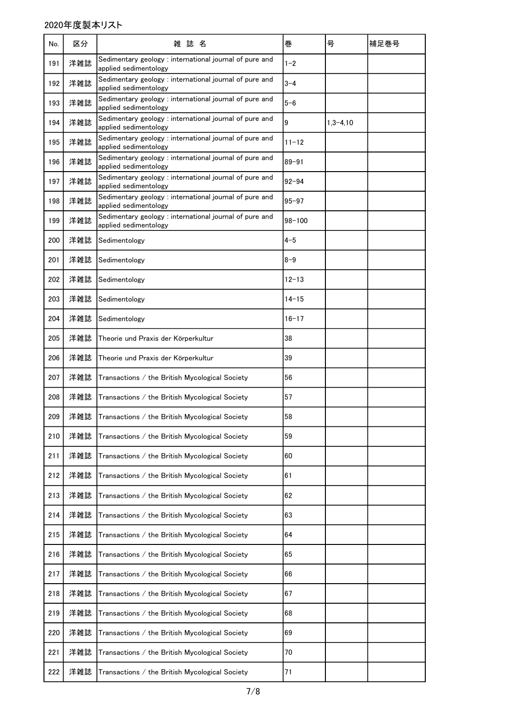| No. | 区分  | 雑誌名                                                                              | 巻          | 号            | 補足巻号 |
|-----|-----|----------------------------------------------------------------------------------|------------|--------------|------|
| 191 | 洋雑誌 | Sedimentary geology : international journal of pure and<br>applied sedimentology | $1 - 2$    |              |      |
| 192 | 洋雑誌 | Sedimentary geology : international journal of pure and<br>applied sedimentology | $3 - 4$    |              |      |
| 193 | 洋雑誌 | Sedimentary geology : international journal of pure and<br>applied sedimentology | $5 - 6$    |              |      |
| 194 | 洋雑誌 | Sedimentary geology : international journal of pure and<br>applied sedimentology | 9          | $1,3 - 4,10$ |      |
| 195 | 洋雑誌 | Sedimentary geology : international journal of pure and<br>applied sedimentology | $11 - 12$  |              |      |
| 196 | 洋雑誌 | Sedimentary geology : international journal of pure and<br>applied sedimentology | 89-91      |              |      |
| 197 | 洋雑誌 | Sedimentary geology : international journal of pure and<br>applied sedimentology | $92 - 94$  |              |      |
| 198 | 洋雑誌 | Sedimentary geology : international journal of pure and<br>applied sedimentology | $95 - 97$  |              |      |
| 199 | 洋雑誌 | Sedimentary geology : international journal of pure and<br>applied sedimentology | $98 - 100$ |              |      |
| 200 | 洋雑誌 | Sedimentology                                                                    | $4 - 5$    |              |      |
| 201 | 洋雑誌 | Sedimentology                                                                    | $8 - 9$    |              |      |
| 202 | 洋雑誌 | Sedimentology                                                                    | $12 - 13$  |              |      |
| 203 | 洋雑誌 | Sedimentology                                                                    | $14 - 15$  |              |      |
| 204 | 洋雑誌 | Sedimentology                                                                    | $16 - 17$  |              |      |
| 205 | 洋雑誌 | Theorie und Praxis der Körperkultur                                              | 38         |              |      |
| 206 | 洋雑誌 | Theorie und Praxis der Körperkultur                                              | 39         |              |      |
| 207 | 洋雑誌 | Transactions / the British Mycological Society                                   | 56         |              |      |
| 208 | 洋雑誌 | Transactions / the British Mycological Society                                   | 57         |              |      |
| 209 |     | 洋雑誌 Transactions / the British Mycological Society                               | 58         |              |      |
| 210 | 洋雑誌 | Transactions / the British Mycological Society                                   | 59         |              |      |
| 211 | 洋雑誌 | Transactions / the British Mycological Society                                   | 60         |              |      |
| 212 | 洋雑誌 | Transactions / the British Mycological Society                                   | 61         |              |      |
| 213 | 洋雑誌 | Transactions / the British Mycological Society                                   | 62         |              |      |
| 214 | 洋雑誌 | Transactions / the British Mycological Society                                   | 63         |              |      |
| 215 | 洋雑誌 | Transactions / the British Mycological Society                                   | 64         |              |      |
| 216 | 洋雑誌 | Transactions / the British Mycological Society                                   | 65         |              |      |
| 217 | 洋雑誌 | Transactions / the British Mycological Society                                   | 66         |              |      |
| 218 | 洋雑誌 | Transactions / the British Mycological Society                                   | 67         |              |      |
| 219 | 洋雑誌 | Transactions / the British Mycological Society                                   | 68         |              |      |
| 220 | 洋雑誌 | Transactions / the British Mycological Society                                   | 69         |              |      |
| 221 | 洋雑誌 | Transactions / the British Mycological Society                                   | 70         |              |      |
| 222 | 洋雑誌 | Transactions / the British Mycological Society                                   | 71         |              |      |